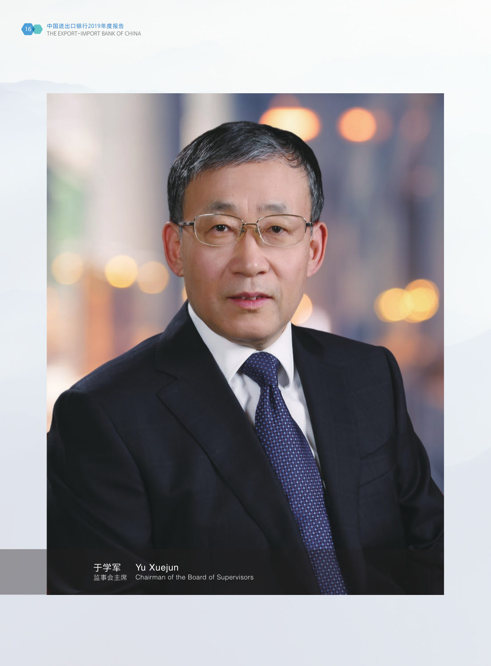

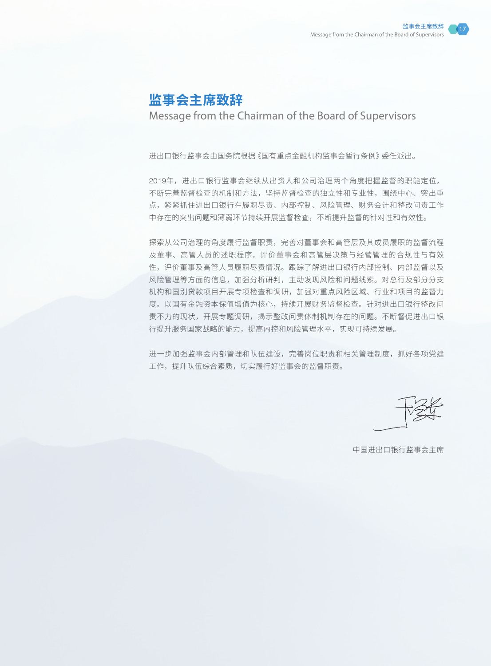## **监事会主席致辞**

Message from the Chairman of the Board of Supervisors

进出口银行监事会由国务院根据《国有重点金融机构监事会暂行条例》委任派出。

2019年,进出口银行监事会继续从出资人和公司治理两个角度把握监督的职能定位, 不断完善监督检查的机制和方法,坚持监督检查的独立性和专业性,围绕中心、突出重 点,紧紧抓住进出口银行在履职尽责、内部控制、风险管理、财务会计和整改问责工作 中存在的突出问题和薄弱环节持续开展监督检查,不断提升监督的针对性和有效性。

探索从公司治理的角度履行监督职责,完善对董事会和高管层及其成员履职的监督流程 及董事、高管人员的述职程序,评价董事会和高管层决策与经营管理的合规性与有效 性,评价董事及高管人员履职尽责情况。跟踪了解进出口银行内部控制、内部监督以及 风险管理等方面的信息,加强分析研判,主动发现风险和问题线索。对总行及部分分支 机构和国别贷款项目开展专项检查和调研,加强对重点风险区域、行业和项目的监督力 度。以国有金融资本保值增值为核心,持续开展财务监督检查。针对进出口银行整改问 责不力的现状,开展专题调研,揭示整改问责体制机制存在的问题。不断督促进出口银 行提升服务国家战略的能力,提高内控和风险管理水平,实现可持续发展。

进一步加强监事会内部管理和队伍建设,完善岗位职责和相关管理制度,抓好各项党建 工作,提升队伍综合素质,切实履行好监事会的监督职责。

中国进出口银行监事会主席